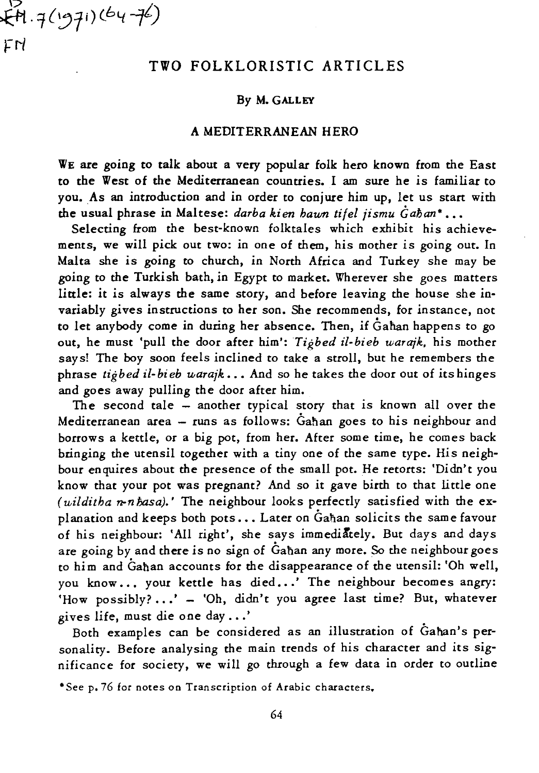$\bigstar$ H.7(1971)(by-76)  $FN$ 

# TWO FOLKLORISTIC ARTICLES

#### By M.GALLEY

#### A MEDITERRANEAN HERO

WE are going to talk about a very popular folk hero known from the East to the West of the Mediterranean countries. I am sure he is familiar to you. As an introduction and in order to conjure him up, let us start with the usual phrase in Maltese: *darba kien hawn tifel jismu Gahan\** ...

Selecting from the best-known folktales which exhibit his achievements, we will pick out two: in one of them, his mother is going out. In Malta she is going to church, in North Africa and Turkey she may be going to the Turkish bath, in Egypt to market. Wherever she goes matters little: it is always the same story, and before leaving the house she invariably gives instructions to her son. She recommends, for instance, not to let anybody come in during her absence. Then, if Gahan happens to go out, he must 'pull the door after him': *Tigbed il-bieb warajk.* his mother says! The boy soon feels inclined to take a stroll, but he remembers the phrase *tigbed il-bieb warajk •••* .And so he takes the door out of its hinges and goes away pulling the door after him.

The second tale - another typical story that is known all over the Mediterranean area - runs as follows: Gahan goes to his neighbour and borrows a kettle, or a big pot, from her. After some time, he comes back bringing the utensil together with a tiny one of the same type. His neighbour enquires about the presence of the small pot. He retorts: 'Didn't you know that your pot was pregnant? And so it gave birth to that little one (wilditha n-n hasa).' The neighbour looks perfectly satisfied with the explanation and keeps both pots ... Later on Gahan solicits the same favour of his neighbour: 'All right', she says immediately. But days and days are going by and there *is* no sign of Ganan any more. So the neighbour goes to him and Gahan accounts for the disappearance of the utensil: 'Oh well, you know... your kettle has died...' The neighbour becomes angry: 'How possibly? ...' - 'Oh, didn't you agree last time? But, whatever gives life, must die one day •. .'

Both examples can be considered as an illustration of Gahan's personality. Before analysing the main trends of his character and its significance for society, we will go through a few data in order to outline

<sup>\*</sup> See p. 76 for notes on Transcription of Arabic characters.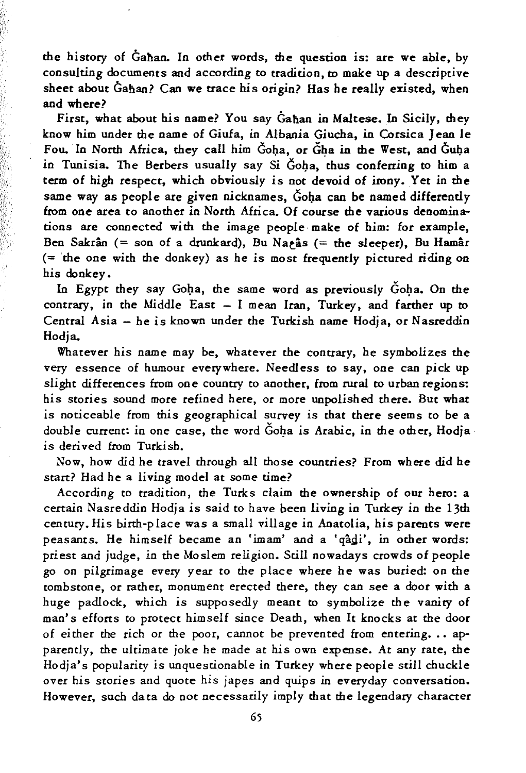the history of Gahan. In other words, the question *is:* are we able, by consulting documents and according to tradition, to make up a descriptive sheet about Gahan? Can we trace his origin? Has he really existed, when and where?

*First, what about his name? You say Gahan in Maltese. In Sicily, they* know him under the name of Giufa, in Albania Giucha, in Corsica Jean le Fou. In North Africa, they call him Goha, or Gha in the West, and Guha in Tunisia. The Berbers usually say Si Goha, thus conferring to him a term of high respect, which obviously is not devoid of *irony.* Yet in the same way as people are given nicknames, Goha can be named differently from one area to another *in* North Africa. Of course the various denomina*tions* are connected with the image people make of him: for example, Ben Sakrân (= son of a drunkard), Bu Napâs (= the sleeper), Bu Hamâr (= the one with the donkey) as he is most frequently pictured *riding* on his donkey.

In Egypt they say Goha, the same word as previously Goha, On the contrary, in the Middle East - I mean Iran, Turkey, and farther up to Central Asia - he is known under the Turkish name Hodja, or Nasreddin Hodja.

Whatever his name may be, whatever the contrary, he symbolizes the very essence of humour everywhere. Needless to say, one can pick up slight differences from one country to another, from rural to urban regions: his stories sound more refined here, or more unpolished there. But what is noticeable from this geographical survey is that there seems to be a double current: in one case, the word Goha is Arabic, in the other, Hodja is derived from Turkish.

Now, how did he travel through all those countries? From where did he start? Had he a living model at some time?

According to tradition, the Turks claim the ownership of our hero: a certain Nasreddin Hodja is said to have been living in Turkey in the 13th century. *His* birth-place was a small village in Anatolia, his parents were peasants. He himself became an 'imam' and a 'qâdi', in other words: priest and judge, in the Moslem religion. Still nowadays crowds of people go on pilgrimage every year to the place where he was buried: on the tombstone, or rather, monument erected there, they can see a door with a huge padlock, which *is* supposedly meant to symbolize the vanity of man's efforts to protect himself since Death, when It knocks at the door of either the rich or the poor, cannot be prevented from entering. . . apparently, the ultimate joke he made at *his* own expense. At any rate, the Hodja's popularity is unquestionable in Turkey where people still chuckle over *his* stories and quote his japes and quips in everyday conversation. However, such data do not necessarily imply that the legendary character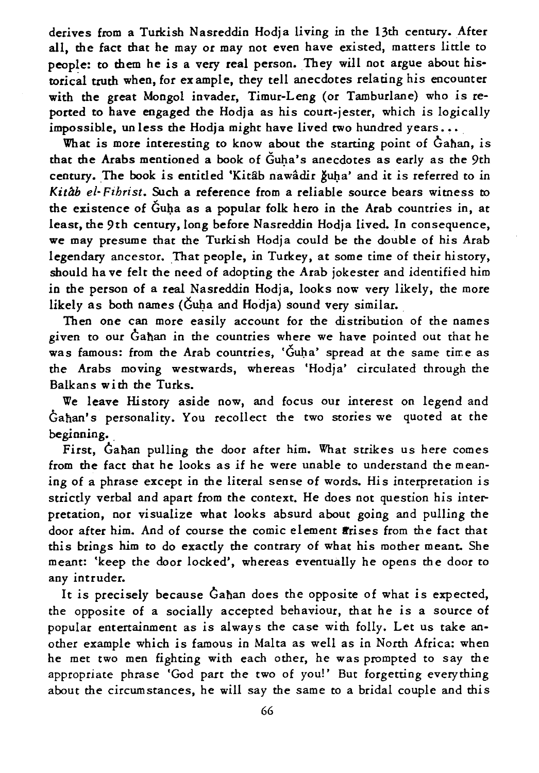derives from a Turkish Nasreddin Hodja living in the 13th century. After all, the fact that he mayor may not even have existed, matters little to people: to them he is a very real person. They will not argue about historical truth when, for example, they tell anecdotes relating his encounter with the great Mongol invader, Timur-Leng (or Tamburlane) who is reported to have engaged the Hodja as his court-jester, which *is* logically impossible, un less the Hodja might have lived two hundred years...

What is more interesting to know about the starting point of Gahan, is that the Arabs mentioned a book of Guha's anecdotes as early as the 9th century. The book is entitled 'Kitâb nawâdir ğuha' and it is referred to in *Kitab el· Fihrist.* Such a reference from a reliable source bears witness to the existence of Guha as a popular folk hero in the Arab countries in, at least, the 9th century, long before Nasreddin Hodja lived. In consequence, we may presume that the Turkish Hodja could be the double of his Arab legendary ancestor. That people, in Turkey, at some time of their history, should ha ve felt the need of adopting the Arab jokester and identified him *in* the person of a real Nasreddin Hodja, looks now very likely, the more likely as both names ( $\ddot{G}$ uha and Hodja) sound very similar.

Then one can more easily account for the distribution of the names given to our Gahan in the countries where we have pointed out that he was famous: from the Arab countries, 'Guha' spread at the same time as the Arabs moving westwards, whereas 'Hodja' circulated through the Balkans with the Turks.

We leave History aside now, and focus our interest on legend and Gahan's personality. You recollect the two stories we quoted at the beginning.

First, Gahan pulling the door after him. What strikes us here comes from the fact that he looks as if he were unable to understand the meaning of a phrase except in the literal sense of words. His interpretation *is*  strictly verbal and apart from the context. He does not question his interpretation, nor visualize what looks absurd about going and pulling the door after him. And of course the comic element grises from the fact that this brings him to do exactly the contrary of what *his* mother meant. She meant: 'keep the door locked', whereas eventually he opens the door to any intruder.

It *is* precisely because Galian does the opposite of what *is* expected, the opposite of a socially accepted behaviour, that he *is* a source of popular entertainment as *is* always the case with folly. Let us take another example which *is* famous in Malta as well as *in* North Africa: when he met two men fighting with each other, he was prompted to say the appropriate phrase 'God part the two of you!' But forgetting everything about the circumstances, he will say the same to a bridal couple and *this*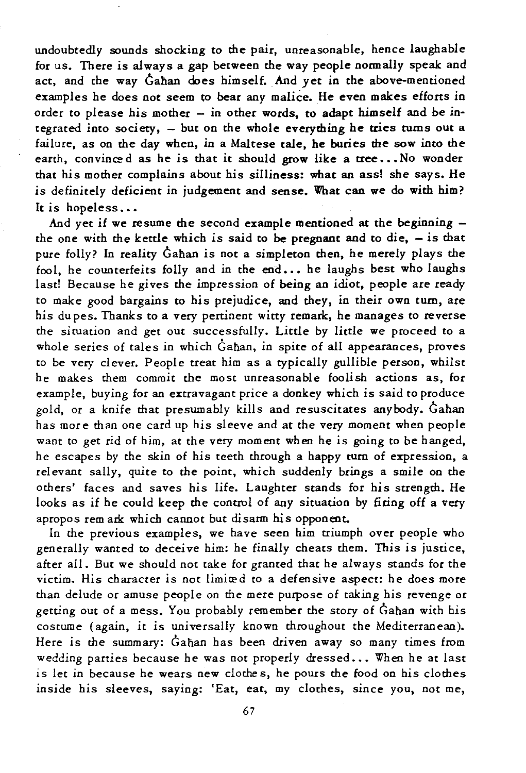undoubtedly sounds shocking to the pair, unreasonable, hence laughable for us. There is always a gap between the way people normally speak and act, and the way Gahan does himself. And *yet* in the above-mentioned examples he does not seem to bear any malice. He even makes efforts in order to please his mother - in other words, to adapt himself and be *in*tegrated into society, - but on the whole everything he tries turns out a failure, as on the day when, in a Maltese tale, he buries the sow into the earth, convinced as he is that it should grow like a tree...No wonder that *his* mother complains about his silliness: what an ass! she says. He is definitely deficient in judgement and sense. What can we do with him? It is hopeless...

And yet if we resume the second example mentioned at the beginning the one with the kettle which is said to be pregnant and to die,  $-$  is that pure folly? In reality Gahan *is* not a simpleton then, he merely plays the fool, he counterfeits folly and in the end... he laughs best who laughs last! Because he gives the impression of being an *idiot,* people are ready to make good bargains to his prejudice, and *they,* in their own turn, are *his* du pes. Thanks to a very pertinent witty remark, he manages to reverse the *situation* and get out successfully. Litde by little we proceed to a whole series of tales in which Gahan, in spite of all appearances, proves to be very clever. People treat him as a typically gullible person, whilst he makes them commit the most unreasonable foolish actions as, for example, buying for an extravagant price a donkey which is said to produce gold, or a knife that presumably kills and resuscitates anybody. Gahan has more than one card up *his* sleeve and at the very moment when people want to get rid of him, at the very moment when he *is* going to be hanged, he escapes by the *skin* of his teeth through a happy turn of expression, a relevant sally, quite to the point, which suddenly brings a smile on the others' faces and saves his life. Laughter stands for *his* strength. He looks as if he could keep the control of any *situation* by firing off a very apropos rem ark which cannot but disarm his opponent.

In the previous examples, we have seen him triumph over people who generally wanted to deceive him: he finally cheats them. This *is* justice, after all. But we should not take for granted that he always stands for the *victim. His* character *is* not limited to a defensive aspect: he does more than delude or amuse people on the mere purpose of taking his revenge or getting out of a mess. You probably remember the story of Gahan with his costume (again, it is universally known throughout the Mediterranean). Here is the summary: Gahan has been driven away so many times from wedding parties because he was not properly dressed... When he at last *is* let *in* because he wears new clothe s, he pours the food on his clothes *inside* his sleeves, saying: 'Eat, eat, *my* clothes, since you, not me,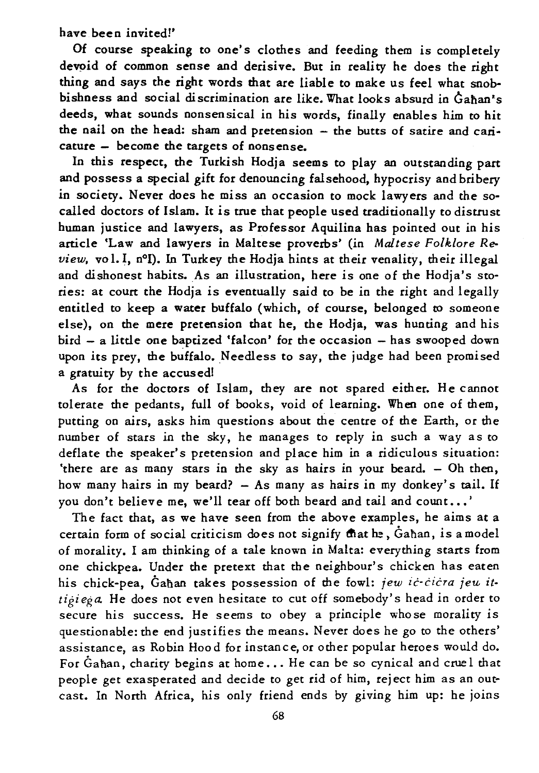have been invited!'

Of course speaking to one's clothes and feeding them is completely devoid of common sense and derisive. But in reality he does the right thing and says the right words that are liable to make us feel what snobbishness and social discrimination are like. What looks absurd in Gahan's deeds, what sounds nonsensical in his words, finally enables him to hit the nail on the head: sham and pretension - the butts of satire and caricature - become the targets of nonsense.

In this respect, the Turkish Hodja seems to play an outstanding part and possess a special gift for denouncing falsehood, hypocrisy and bribery *in* society. Never does he *miss* an occasion to mock lawyers and the socalled doctors of Islam. It *is* true that people used traditionally to distrust human justice and lawyers, as Professor Aquilina has pointed out in his article 'Law and lawyers in Maltese proverbs' (in *Maltese Folklore Review*, vo l. I, n<sup>o</sup>I). In Turkey the Hodja hints at their venality, their illegal and dishonest habits. As an illustration, here is one of the Hodja's stories: at cOUrt the Hodja *is* eventually said to be in the right and legally entitled to keep a water buffalo (which, of course, belonged to someone else), on the mere pretension that he, the Hodja, was hunting and his bird - a little one baptized 'falcon' for the occasion - has swooped down upon its prey, the buffalo. Needless to say, the judge had been promised a gratuity by the accused!

As for the doctors of Islam, they are not spared either. He cannot tolerate the pedants, full of books, void of learning. When one of them, putting on airs, asks him questions about the centre of the Earth, or the number of stars in the sky, he manages to reply in such a way as to deflate the speaker's pretension and place him in a ridiculous situation: 'there are as many stars in the sky as hairs in your beard. - Oh then, how many hairs in my beard? - As many as hairs in my donkey's tail. If you don't believe me, we'll tear off both beard and tail and count...'

The fact that, as we have seen from the above examples, he aims at a certain form of social criticism does not signify that he, Gahan, is a model of morality. I am thinking of a tale known in Malta: everything starts from one chickpea. Under the pretext that the neighbour's chicken has eaten his chick-pea, Gahan takes possession of the fowl: *jew ic-cicra jeu it*tigiega. He does not even hesitate to cut off somebody's head in order to secure his success. He seems to obey a principle whose morality is questionable: the end justifies the means. Never does he go to the others' assistance, as Robin Hood for instance, or other popular heroes would do. For Gahan, charity begins at home ... He can be so cynical and cruel that people get exasperated and decide to get rid of him, rej ect him as an outcast. In North Africa, his only friend ends by giving him up: he joins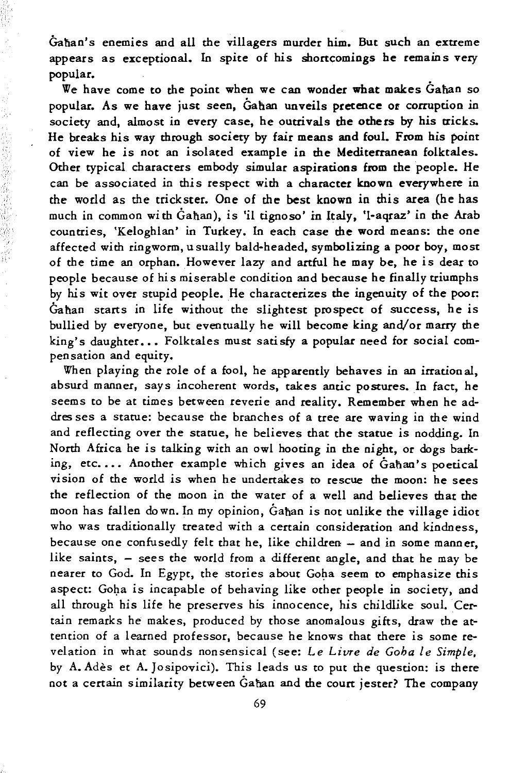Gahan's enemies and all the villagers murder him. But such an extreme appears as exceptional. In spite of his shortcomings he remains very popular.

We have come to the point when we can wonder what makes Gahan so popular. As we have just seen, Gahan unveils pretence or corruption in society and, almost in every case, he outrivals the others by his tricks. He breaks his way through society by fair means and foul. From his point of view he is not an isolated example in the Mediterranean folktales. Other typical characters embody simular aspirations from the people. He can be associated in this respect with a character known everywhere in the world as the trickster. One of the best known in this area (he has much in common with Gahan), is 'il tignoso' in Italy, 'l-aqraz' in the Arab countries, 'Keloghlan' in Turkey. In each case the word means: the one affected with ringworm, usually bald-headed, symbolizing a poor boy, most of the time an orphan. However lazy and artful he may be, he is dear to people because of his miserable condition and because he finally triumphs by his wit over stupid people. He characterizes the ingenuity of the poor: Gahan starts in life without the slightest prospect of success, he is bullied by everyone, but eventually he will become king and/or marry the king's daughter... Folktales must satisfy a popular need for social compensation and equity.

When playing the role of a fool, he apparently behaves in an irrational, absurd manner, says incoherent words, takes antic postures. In fact, he seems to be at times between reverie and reality. Remember when he addres ses a statue: because the branches of a tree are waving in the wind and reflecting over the statue, he believes that the statue is nodding. In North Africa he is talking with an owl hooting in the night, or dogs barking, etc.... Another example which gives an idea of Gahan's poetical vision of the world is when he undertakes to rescue the moon: he sees the reflection of the moon in the water of a well and believes that the moon has fallen do wn. In my opinion, Gahan is not unlike the village idiot who was traditionally treated with a certain consideration and kindness, because one confusedly felt that he, like children - and in some manner, like saints, - sees the world from a different angle, and that he may be nearer to God. In Egypt, the stories about Goha seem to emphasize this aspect: Goha is incapable of behaving like other people in society, and all through his life he preserves his innocence, his childlike soul. Certain remarks he makes, produced by those anomalous gifts, draw the attention of a learned professor, because he knows that there is some revelation in what sounds nonsensical (see: *Le Livre de Goha le Simple,*  by A. Ades et A. Josipovici). This leads us to put the question: is there not a certain similarity between Gahan and the court jester? The company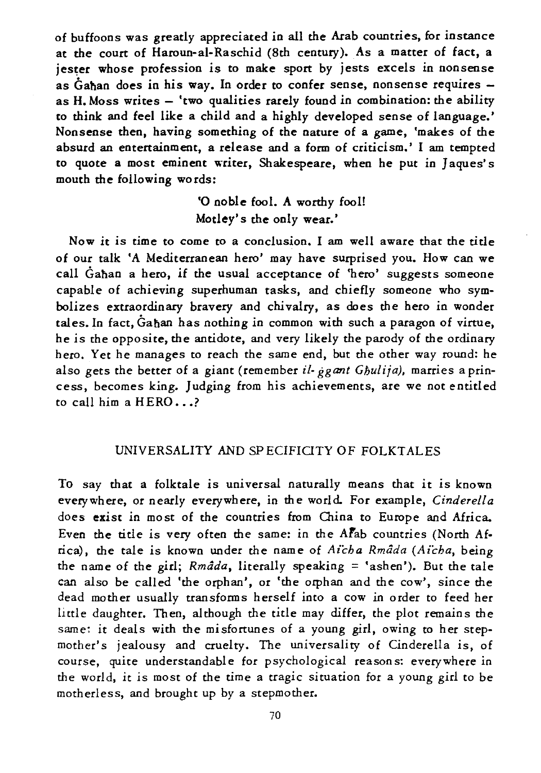of buffoons was greatly appreciated in all the Arab countries, for instance at the court of Haroun-al-Raschid (8th century). As a matter of fact, a jester whose profession is to make sport by jests excels in nonsense as  $\dot{G}$ ahan does in his way. In order to confer sense, nonsense requires  $$ as H. Moss writes - 'two qualities rarely found in combination: the ability to think and feel like a child and a highly developed sense of language.' Nonsense then, having something of the nature of a game, 'makes of the absurd an entertainment, a release and a form of criticism.' I am tempted to quote a most eminent writer, Shakespeare, when he put in Jaques's mouth the following words:

> '0 noble fool. A worthy fool! Motley's the only wear.'

Now it is time to come to a conclusion. I am well aware that the title of our talk 'A Mediterranean hero' may have surprised you. How can we call Gahan a hero, if the usual acceptance of 'hero' suggests someone capable of achieving superhuman tasks, and chiefly someone who symbolizes extraordinary bravery and chivalry, as does the hero in wonder tales. In fact, Gahan has nothing in common with such a paragon of virtue, he is the opposite, the antidote, and very likely the parody of the ordinary hero. Yet he manages to reach the same end, but the other way round: he also gets the better of a giant (remember *if· ggant Ghufija).* marries a princess, becomes king. Judging from his achievements, are we not entitled to call him a  $HERO$ ...?

## UNIVERSALITY AND SPECIFIOTY OF FOLKTALES

To say that a folktale is universal naturally means that *it* is known every where, or nearly everywhere, in the world. For example, *Cinderella* does exist in most of the countries from China to Europe and Africa. Even the title *is* very often the same: in the Arab countries (North Africa), the tale is known under the name of *Aicha Rmada (Aicha,* being the name of the girl; *Rmada*, literally speaking  $=$  'ashen'). But the tale can also be called 'the orphan', or 'the orphan and the cow', since the dead mother usually transforms herself into a cow in order to feed her little daughter. Then, although the title may differ, the plot remains the *same:* it deals with the misfortunes of a young girl, owing to her stepmother's jealousy and cruelty. The universality of Gnderella is, of course, *quite* understandable for psychological reasons: everywhere in *the* world, *it* is most of the time a tragic situation for a young girl to be motherless, and brought up by a stepmother.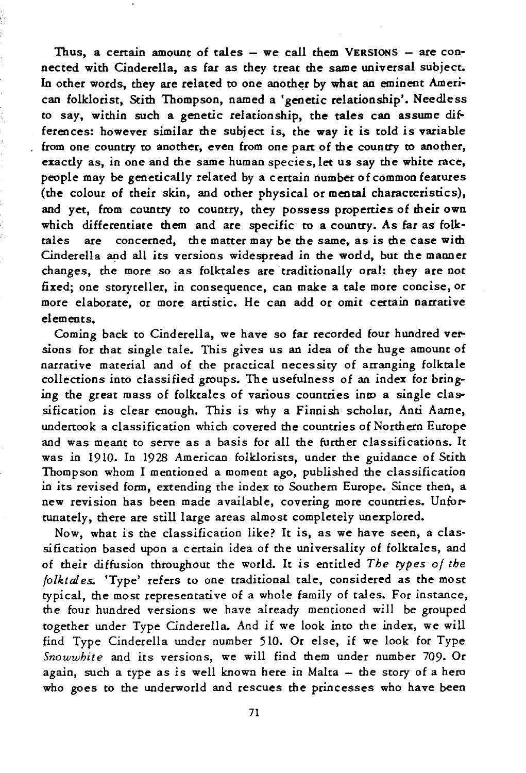Thus, a certain amount of tales - we call them VERSIONS - are connected with Cinderella, as far as they treat the same universal subject. In other words, they are related to one another by what an eminent American folklorist, Stith Thompson, named a 'genetic relationship'. Needless to say, within such a genetic relationship, the tales can assume differences: however similar the subject is, the way it is told is variable from one country to another, even from one part of the country to another, exactly as, in one and the same human species, let us say the white race, people may be genetically related by a certain number of common features (the colour of their skin, and other physical or mental characteristics), and yet, from country to country, they possess properties of their own which differentiate them and are specific to a country. As far as folktales are concerned, the matter may be the same, as is the case with Cinderella and all *its* versions widespread in the world, but the manner changes, the more so as folktales are traditionally oral: they are not fixed; one storyteller, in consequence, can make a tale more concise, or more elaborate, or more artistic. He can add or omit certain narrative elements.

Coming back to Cinderella, we have so far recorded four hundred versions for that single tale. This gives us an idea of the huge amount of narrative material and of the practical necessity of arranging folktale collections into classified groups. The usefulness of an index for bringing the great mass of folktales of various countries into a single classification is clear enough. This is why a Finnish scholar, Anti Aame, undertook a classification which covered the countries of Northern Europe and was meant to serve as a basis for all the further classifications. It was in 1910. In 1928 American folklorists, under the guidance of Stith Thompson whom I mentioned a moment ago, published the classification in its revised form, extending the index to Southern Europe. Since then, a new revision has been made available, covering more countries. Unfortunately, there are still large areas almost completely unexplored.

Now, what is the classification like? It is, as we have seen, a classification based upon a certain idea of the universality of folktales, and of their diffusion throughout the world. It *is* entitled *The types of the folktal es.* 'Type' refers to one traditional tale, considered as the most typical, the most representative of a whole family of tales. For instance, the four hundred versions we have already mentioned will be grouped together under Type Cinderella. And if we look into the index, we will find Type Cinderella under number 510. Or else, if we look for Type *Snowwhite* and *its* versions, we will find them under number 709. Or again, such a type as is well known here in Malta - the story of a hero who goes to the underworld and rescues the princesses who have been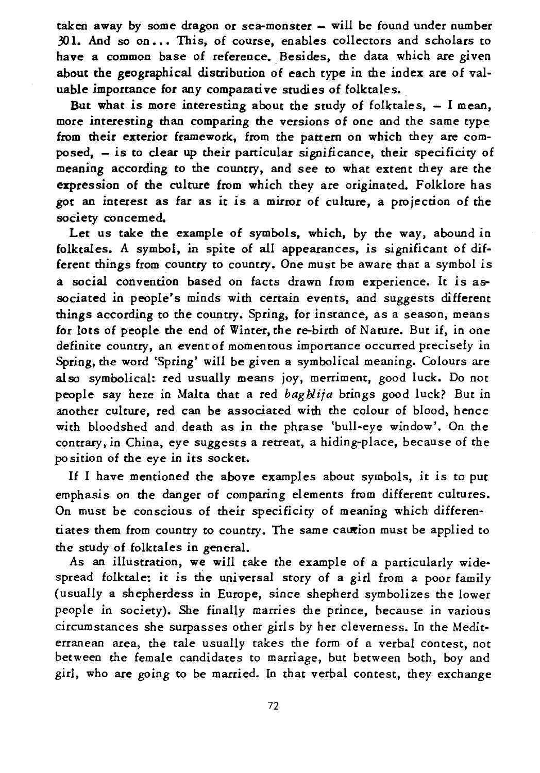taken away by some dragon or sea-monster - will be found under number 301. And so on... This, of course, enables collectors and scholars to have a common base of reference. Besides, the data which are given about the geographical distribution of each type in the index are of valuable importance for any comparative studies of folktales.

But what is more interesting about the study of folktales,  $-$  I mean, more interesting than comparing the versions of one and the same type from their exterior framework, from the pattern on which they are composed, - is to clear up their particular significance, their specificity of meaning according to the country, and see to what extent they are the expression of the culture from which they are originated. Folklore has got an interest as far as *it is* a mirror of culture, a projection of the society concemed.

Let us take the example of symbols, which, by the way, abound in folktales. A symbol, in spite of all appearances, is significant of different things from country to country. One must be aware that a symbol is a social convention based on facts drawn from experience. It *is* associated in people's minds with certain events, and suggests different things according to the country. Spring, for instance, as a season, means for lots of people the end of Winter, the re-birth of Nature. But if, in one definite country, an event of momentous importance occurred precisely in Spring, the word 'Spring' will be given a symbolical meaning. Colours are also symbolical: red usually means joy, merriment, good luck. Do not people say here in Malta that a red *baghlija* brings good luck? But in another culture, red can be associated with the colour of blood, hence with bloodshed and death as in the phrase 'bull-eye window'. On the contrary, in China, eye suggests a retreat, a hiding-place, because of the *position* of the eye in its socket.

If I have mentioned the above examples about symbols, it *is* to put emphasis on the danger of comparing elements from different cultures. On must be conscious of their specificity of meaning which differentiates them from country to country. The same caution must be applied to the study of folktales in general.

As an illustration, we will take the example of a particularly widespread folktale: it is the universal story of a girl from a poor family (usually a shepherdess in Europe, *since* shepherd symbolizes the lower people in society). She finally marries the prince, because in various circumstances she surpasses other *girls* by her cleverness. In the Mediterranean area, the tale usually takes the form of a verbal contest, not between the female candidates to marriage, but between both, boy and girl, who are *going* to be married. In that verbal contest, they exchange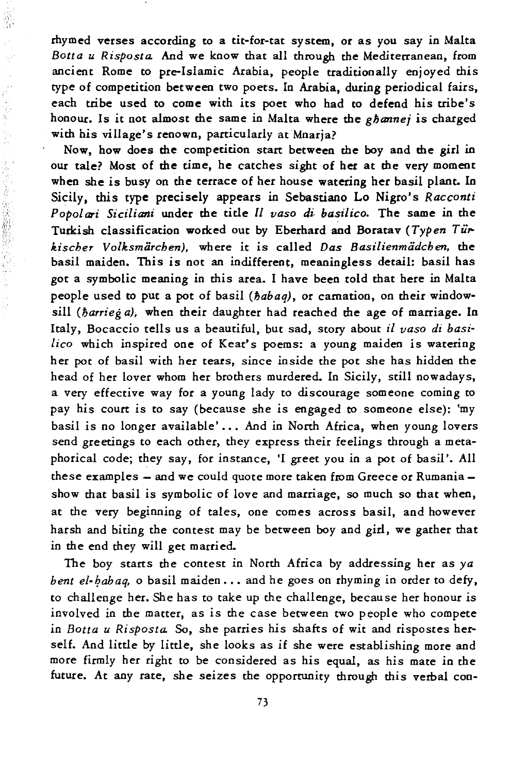rhymed verses according to a tit-for-tat system, or as you say in Malta *Botta u Risposta.* And we know that all through the Mediterranean, from ancient Rome to pre-Islamic Arabia, people traditionally enjoyed this type of competition between two poets. In Arabia, during periodical fairs, each tribe used to come with its poet who had to defend his tribe's honour. Is it not almost the same in Malta where the *ghannej* is charged with his village's renown, particularly at Mnaria?

Now, how does the competition start between the boy and the girl in our tale? Most of the time, he catches sight of her at the very moment when she is busy on the terrace of her house watering her basil plant. In *Sicily,* this type precisely appears in Sebastiano Lo Nigro's *Racconti Popol ari Siciliani* under the title II *vaso di. basilico.* The same in the Turkish classification worked out by Eberhard and Boratav (Typen Tür*kischeT Volksmarchen),* where it is called *Das Basilienmiidchen,* the basil maiden. This is not an indifferent, meaningless detail: basil has got a symbolic meaning in this area. I have been told that here in Malta people used to put a pot of basil *(habaq)*, or carnation, on their windowsill *(harrieg a)*, when their daughter had reached the age of marriage. In Italy, Bocaccio tells us a beautiful, but sad, story about *il vaso di basilico* which inspired one of Keat's poems: a young maiden is watering her pot of basil with her tears, since inside the pot she has hidden the head of her lover whom her brothers murdered. In Sicily, still nowadays, a very effective way for a young lady to discourage someone coming to pay his court is to say (because she *is* engaged to someone else): 'my basil is no longer available'... And in North Africa, when young lovers send greetings to each other, they express their feelings through a metaphorical code; they say, for instance, 'I greet you in a pot of basil'. All these examples - and we could quote more taken from Greece or Rumania show that basil is symbolic of love and marriage, so much so that when, at the very beginning of tales, one comes across basil, and however harsh and biting the contest may be between boy and girl, we gather that in the end they will get married.

The boy starts the contest in North Africa by addressing her as *ya*  bent el-habaq, o basil maiden ... and he goes on rhyming in order to defy, to challenge her. She has to take up the challenge, because her honour is involved in the matter, as is the case between two people who compete in *Botta u Risposta.* So, she parries his shafts of wit and rispostes herself. And little by little, she looks as if she were establishing more and more firmly her right to be considered as his equal, as his mate in the future. At any rate, she seizes the opportunity through this verbal con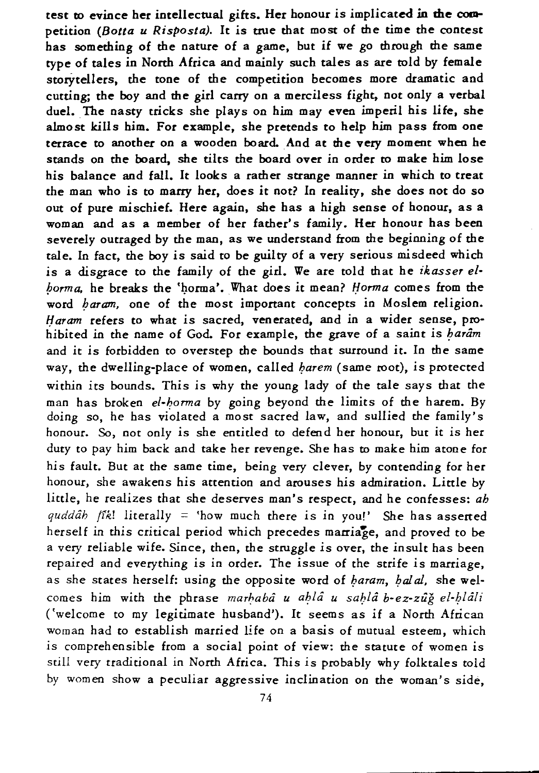test to evince her intellectual gifts. Her honour is implicated in the competition *(Botta u Risposta).* It is true that most of the time the contest has something of the nature of a game, but if we go through the same type of tales in North Africa and mainly such tales as are told by female storytellers, the tone of the competition becomes more dramatic and cutting; the boy and the girl carry on a merciless fight, not only a verbal duel. The nasty tricks she plays on him may even imperil his life, she almost kills him. For example, she pretends to help him pass from one terrace to another on a wooden board. And at the very moment when he stands on the board, she tilts the board over in order to make him lose his balance and fall. It looks a rather strange manner in which to treat the man who is to marry her, does *it* not? In reality, she does not do so out of pure mischief. Here again, she has a high sense of honour, as a woman and as a member of her father's family. Her honour has been severely outraged by the man, as we understand from the beginning of the tale. In fact, the boy is said to be guilty of a very serious misdeed which is a disgrace to the family of the girl. We are told that he *ikasser el borma*, he breaks the 'horma'. What does it mean? *Horma* comes from the word *baram*, one of the most important concepts in Moslem religion. Haram refers to what is sacred, venerated, and in a wider sense, prohibited in the name of God. For example, the grave of a saint is *haram* and it is forbidden to overstep the bounds that surround *it.* In the same way, the dwelling-place of women, called *harem* (same root), is protected within its bounds. This *is* why the young lady of the tale says that the man has broken el-horma by going beyond the limits of the harem. By doing so, he has violated a most sacred law, and sullied the family's honour. So, not only is she entitled to defend her honour, but it *is* her duty to pay him back and take her revenge. She has to make him atone for his fault. But at the same time, being very clever, by contending for her honour, she awakens his attention and arouses his admiration. Little by little, he realizes that she deserves man's respect, and he confesses: *ab qudddh flk!* literally = 'how much there is in you!' She has asserted herself in this *critical* period which precedes marriage, and proved to be a very reliable wife. Since, then, the struggle *is* over, the insult has been repaired and everything is in order. The issue of the strife *is* marriage, as she states herself: using the opposite word of *haram*, *halal*, she welcomes him with the phrase marhabâ u ahlâ u sahlâ b-ez-zûğ el-hlâli ('welcome to my legitimate husband'). It seems as if a North African woman had to establish married life on a basis of mutual esteem, which *is* comprehensible from a social point of view: the statute of women *is*  still very traditional in North Africa. This *is* probably why folktales told by women show a peculiar aggressive inclination on the woman's side,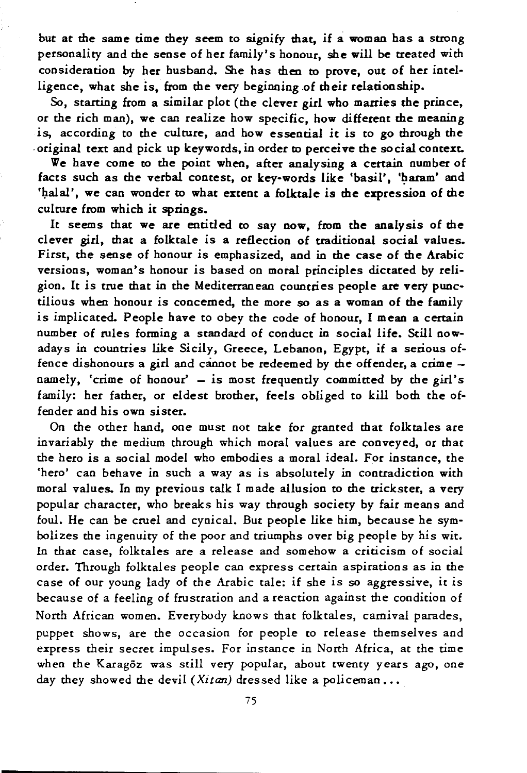but at the same time they seem to signify that, if a woman has a strong personality and the sense of her family's honour, she will be treated with consideration by her husband. She has then to prove, out of her intelligence, what she is, from the very beginning .of their relationship.

So, starting from a similar plot (the clever girl who marries the prince, or the rich man), we can realize how specific, how different the meaning *is,* according to the culture, and how essential it *is* to go through the original text and pick up keywords, in order to perceive the social context.

We have come to the point when, after analysing a certain number of facts such as the verbal contest, or key-words like 'basil', 'haram' and 'halal', we can wonder to what extent a folktale is the expression of the culture from which *it* springs.

It seems that we are entitled to say now, from the analysis of the clever girl, that a folktale is a reflection of traditional social values. First, the sense of honour *is* emphasized, and in the case of the Arabic versions, woman's honour *is* based on moral principles dictated by religion. It *is* true that in the Mediterranean countries people are very punctilious when honour is concerned, the more so as a woman of the family is implicated. People have to obey the code of honour, I mean a certain number of rules forming a standard of conduct in social life. Still nowadays in countries like *Sicily,* Greece, Lebanon, Egypt, if a serious offence dishonours a girl and cannot be redeemed *by* the offender, a crime namely, 'crime of honour' - is most frequently committed by the girl's family: her father, or eldest brother, feels obliged to kill both the offender and his own sister.

On the other hand, one must not take for granted that folk tales are invariably the medium through which moral values are conveyed, or that the hero is a social model who embodies a moral ideal. For instance, the 'hero' can behave in such a way as is absolutely in contradiction with moral values. In my previous talk I made allusion to the trickster, a very popular character, who breaks his way through society by fair means and foul. He can be cruel and cynical. But people like him, because he symbolizes the ingenuity of the poor and triumphs over big people by his wit. In that case, folktales are a release and somehow a criticism of *social*  order. Through folktales people can express certain aspirations as in the case of our young lady of the Arabic tale: if she is so aggressive, it *is*  because of a feeling of frustration and a reaction against the condition of North African women. Everybody knows that folktales, carnival parades, puppet shows, are the *occasion* for people to release themselves and express their secret *impulses.* For instance in North Africa, at the time when the Karagoz was still very popular, about twenty years ago, one day they showed the devil  $(Xitan)$  dressed like a policeman...